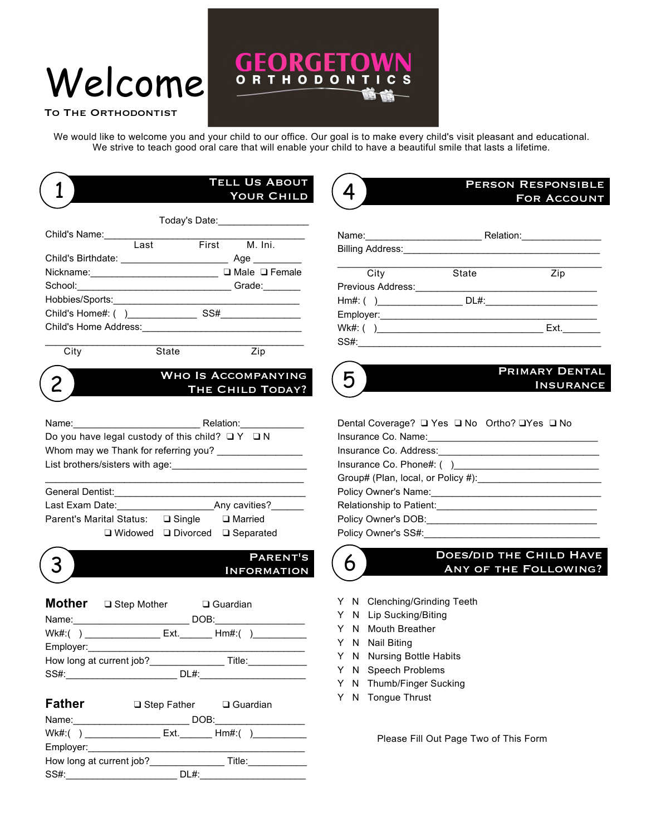# Welcome

#### TO THE ORTHODONTIST

We would like to welcome you and your child to our office. Our goal is to make every child's visit pleasant and educational. We strive to teach good oral care that will enable your child to have a beautiful smile that lasts a lifetime.

RGI

**RTHODON** 

F.

4

**BOUT HILD** 

| TELL <b>Us A</b> I |
|--------------------|
| <b>YOUR C</b>      |
|                    |

| Today's Date: ___________________ |      |     |                           |
|-----------------------------------|------|-----|---------------------------|
| Child's Name:                     |      |     |                           |
|                                   | Last |     | First M. Ini.             |
|                                   |      |     | Age $\_\_\_\_\_\_\_\_\_\$ |
|                                   |      |     | $\Box$ Male $\Box$ Female |
|                                   |      |     | Grade:                    |
|                                   |      |     |                           |
| Child's Home#: ()                 |      | SS# |                           |
|                                   |      |     |                           |
|                                   |      |     |                           |

City State Zip

# WHO IS ACCOMPANYING<br>2 THE CHILD TODAY?

G

 $\overline{O}$ 

| Name:                                                      |                      | Relation:        |
|------------------------------------------------------------|----------------------|------------------|
| Do you have legal custody of this child? $\Box Y$ $\Box N$ |                      |                  |
| Whom may we Thank for referring you?                       |                      |                  |
| List brothers/sisters with age:                            |                      |                  |
|                                                            |                      |                  |
| General Dentist:                                           |                      |                  |
| Last Exam Date:                                            |                      | Any cavities?    |
| Parent's Marital Status:                                   | $\square$ Single     | $\Box$ Married   |
|                                                            | ⊒ Widowed ⊔ Divorced | $\Box$ Separated |



### Parent's 3 Information

| Mother a Step Mother a Guardian |                       |
|---------------------------------|-----------------------|
|                                 | DOB:                  |
|                                 |                       |
|                                 |                       |
| How long at current job?        | Title:____________    |
|                                 | DL#: ________________ |
|                                 |                       |

| <b>Father</b>            | $\Box$ Step Father $\Box$ Guardian |                                                         |  |
|--------------------------|------------------------------------|---------------------------------------------------------|--|
|                          |                                    | DOB: ____________                                       |  |
| $Wk#($ )                 |                                    | $Ext.$ Hm#:( )                                          |  |
| Employer:____________    |                                    |                                                         |  |
| How long at current job? |                                    | Title: $\frac{1}{\sqrt{1-\frac{1}{2}}\cdot\frac{1}{2}}$ |  |
| SS#:                     | DL#:                               |                                                         |  |

### Person Responsible For Account

|              | Relation:_________________ |                             |
|--------------|----------------------------|-----------------------------|
| City         | State                      | Zip                         |
|              |                            |                             |
|              |                            |                             |
|              |                            |                             |
|              |                            | Ext. $\qquad \qquad \qquad$ |
| SS#: _______ |                            |                             |

### **PRIMARY DENTAL**<br>INSURANCE

| Dental Coverage? □ Yes □ No Ortho? □ Yes □ No                                                                                                                                                                                 |
|-------------------------------------------------------------------------------------------------------------------------------------------------------------------------------------------------------------------------------|
| Insurance Co. Name:                                                                                                                                                                                                           |
|                                                                                                                                                                                                                               |
|                                                                                                                                                                                                                               |
| Group# (Plan, local, or Policy #): Crown Management Crown Management Crown Management Crown Management Crown Management Crown Management Crown Management Crown Management Crown Management Crown Management Crown Management |
| Policy Owner's Name:                                                                                                                                                                                                          |
| Relationship to Patient:                                                                                                                                                                                                      |
| Policy Owner's DOB:                                                                                                                                                                                                           |
| Policy Owner's SS#:                                                                                                                                                                                                           |



## **DOES/DID THE CHILD HAVE**<br>ANY OF THE FOLLOWING?

- Y N Clenching/Grinding Teeth
- Y N Lip Sucking/Biting
- Y N Mouth Breather
- Y N Nail Biting
- Y N Nursing Bottle Habits
- Y N Speech Problems
- Y N Thumb/Finger Sucking
- Y N Tongue Thrust

Please Fill Out Page Two of This Form